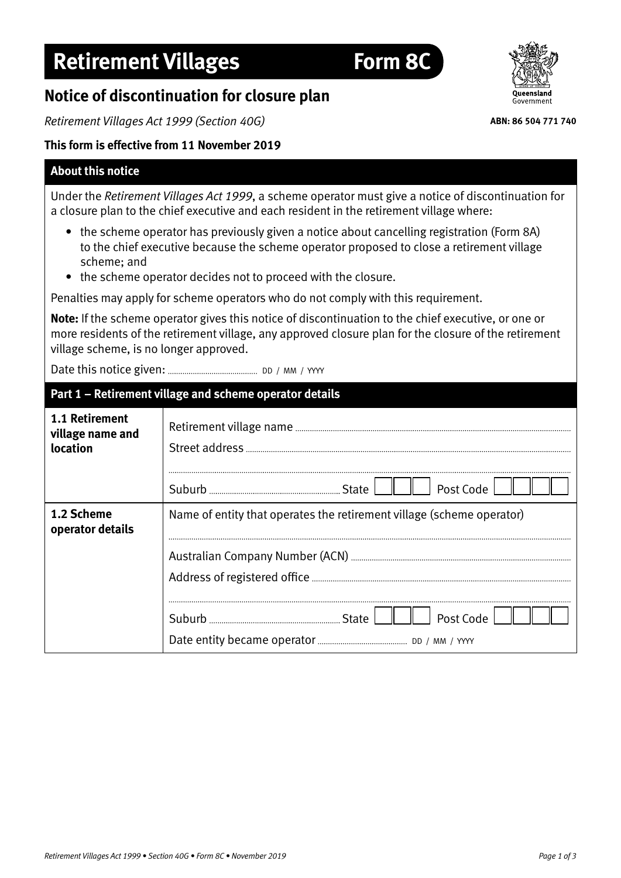## **Retirement Villages Form 8C**

### **Notice of discontinuation for closure plan**

*Retirement Villages Act 1999 (Section 40G)*

#### **This form is effective from 11 November 2019**

#### **About this notice**

Under the *Retirement Villages Act 1999*, a scheme operator must give a notice of discontinuation for a closure plan to the chief executive and each resident in the retirement village where:

- the scheme operator has previously given a notice about cancelling registration (Form 8A) to the chief executive because the scheme operator proposed to close a retirement village scheme; and
- the scheme operator decides not to proceed with the closure.

Penalties may apply for scheme operators who do not comply with this requirement.

**Note:** If the scheme operator gives this notice of discontinuation to the chief executive, or one or more residents of the retirement village, any approved closure plan for the closure of the retirement village scheme, is no longer approved.

Date this notice given: DD / MM / YYYY

# **Part 1 – Retirement village and scheme operator details**

| 1.1 Retirement<br>village name and<br>location | Post Code                                                             |
|------------------------------------------------|-----------------------------------------------------------------------|
| 1.2 Scheme<br>operator details                 | Name of entity that operates the retirement village (scheme operator) |
|                                                | Post Code                                                             |



**ABN: 86 504 771 740**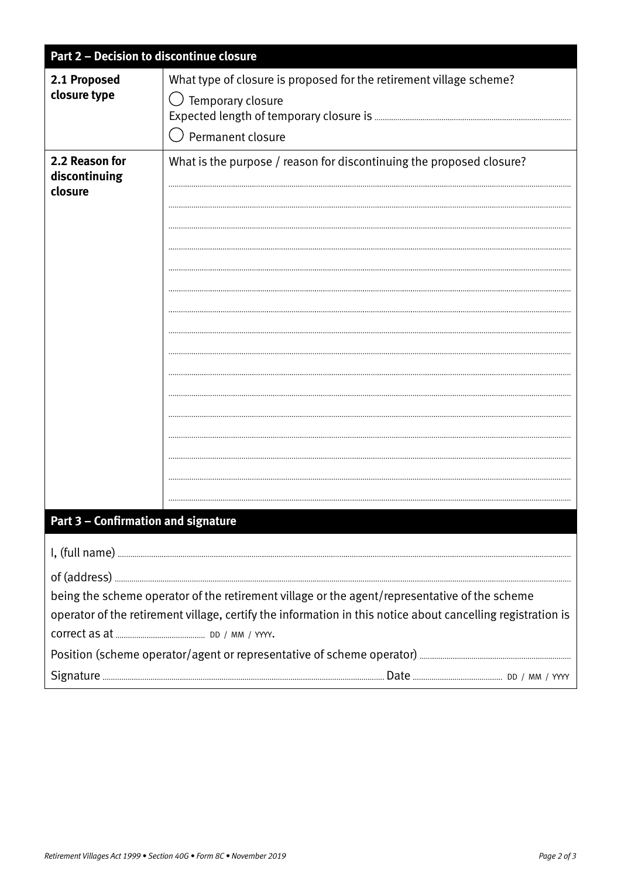| Part 2 - Decision to discontinue closure                                                                    |                                                                      |  |
|-------------------------------------------------------------------------------------------------------------|----------------------------------------------------------------------|--|
| 2.1 Proposed                                                                                                | What type of closure is proposed for the retirement village scheme?  |  |
| closure type                                                                                                | Temporary closure                                                    |  |
|                                                                                                             |                                                                      |  |
|                                                                                                             | Permanent closure                                                    |  |
| 2.2 Reason for<br>discontinuing                                                                             | What is the purpose / reason for discontinuing the proposed closure? |  |
| closure                                                                                                     |                                                                      |  |
|                                                                                                             |                                                                      |  |
|                                                                                                             |                                                                      |  |
|                                                                                                             |                                                                      |  |
|                                                                                                             |                                                                      |  |
|                                                                                                             |                                                                      |  |
|                                                                                                             |                                                                      |  |
|                                                                                                             |                                                                      |  |
|                                                                                                             |                                                                      |  |
|                                                                                                             |                                                                      |  |
|                                                                                                             |                                                                      |  |
|                                                                                                             |                                                                      |  |
|                                                                                                             |                                                                      |  |
|                                                                                                             |                                                                      |  |
|                                                                                                             |                                                                      |  |
|                                                                                                             |                                                                      |  |
| Part 3 - Confirmation and signature                                                                         |                                                                      |  |
|                                                                                                             |                                                                      |  |
|                                                                                                             |                                                                      |  |
| being the scheme operator of the retirement village or the agent/representative of the scheme               |                                                                      |  |
| operator of the retirement village, certify the information in this notice about cancelling registration is |                                                                      |  |
|                                                                                                             |                                                                      |  |
|                                                                                                             |                                                                      |  |
|                                                                                                             |                                                                      |  |